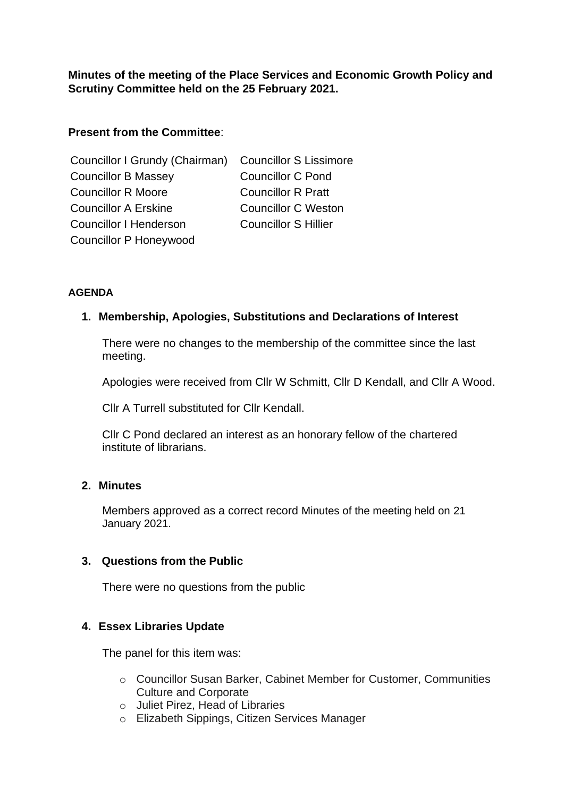**Minutes of the meeting of the Place Services and Economic Growth Policy and Scrutiny Committee held on the 25 February 2021.** 

# **Present from the Committee**:

| Councillor I Grundy (Chairman) Councillor S Lissimore |                             |
|-------------------------------------------------------|-----------------------------|
| <b>Councillor B Massey</b>                            | <b>Councillor C Pond</b>    |
| <b>Councillor R Moore</b>                             | <b>Councillor R Pratt</b>   |
| <b>Councillor A Erskine</b>                           | <b>Councillor C Weston</b>  |
| <b>Councillor I Henderson</b>                         | <b>Councillor S Hillier</b> |
| <b>Councillor P Honeywood</b>                         |                             |

## **AGENDA**

## **1. Membership, Apologies, Substitutions and Declarations of Interest**

There were no changes to the membership of the committee since the last meeting.

Apologies were received from Cllr W Schmitt, Cllr D Kendall, and Cllr A Wood.

Cllr A Turrell substituted for Cllr Kendall.

Cllr C Pond declared an interest as an honorary fellow of the chartered institute of librarians.

## **2. Minutes**

Members approved as a correct record Minutes of the meeting held on 21 January 2021.

## **3. Questions from the Public**

There were no questions from the public

## **4. Essex Libraries Update**

The panel for this item was:

- o Councillor Susan Barker, Cabinet Member for Customer, Communities Culture and Corporate
- o Juliet Pirez, Head of Libraries
- o Elizabeth Sippings, Citizen Services Manager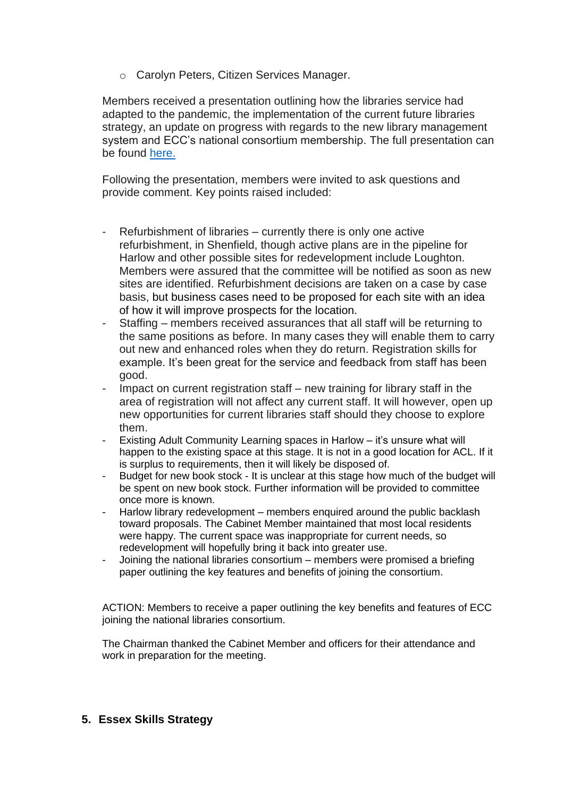o Carolyn Peters, Citizen Services Manager.

Members received a presentation outlining how the libraries service had adapted to the pandemic, the implementation of the current future libraries strategy, an update on progress with regards to the new library management system and ECC's national consortium membership. The full presentation can be found [here.](https://cmis.essex.gov.uk/essexcmis5/CalendarofMeetings/tabid/73/ctl/ViewMeetingPublic/mid/410/Meeting/4622/Committee/129/SelectedTab/Documents/Default.aspx)

Following the presentation, members were invited to ask questions and provide comment. Key points raised included:

- Refurbishment of libraries currently there is only one active refurbishment, in Shenfield, though active plans are in the pipeline for Harlow and other possible sites for redevelopment include Loughton. Members were assured that the committee will be notified as soon as new sites are identified. Refurbishment decisions are taken on a case by case basis, but business cases need to be proposed for each site with an idea of how it will improve prospects for the location.
- Staffing members received assurances that all staff will be returning to the same positions as before. In many cases they will enable them to carry out new and enhanced roles when they do return. Registration skills for example. It's been great for the service and feedback from staff has been good.
- Impact on current registration staff new training for library staff in the area of registration will not affect any current staff. It will however, open up new opportunities for current libraries staff should they choose to explore them.
- Existing Adult Community Learning spaces in Harlow it's unsure what will happen to the existing space at this stage. It is not in a good location for ACL. If it is surplus to requirements, then it will likely be disposed of.
- Budget for new book stock It is unclear at this stage how much of the budget will be spent on new book stock. Further information will be provided to committee once more is known.
- Harlow library redevelopment members enquired around the public backlash toward proposals. The Cabinet Member maintained that most local residents were happy. The current space was inappropriate for current needs, so redevelopment will hopefully bring it back into greater use.
- Joining the national libraries consortium members were promised a briefing paper outlining the key features and benefits of joining the consortium.

ACTION: Members to receive a paper outlining the key benefits and features of ECC joining the national libraries consortium.

The Chairman thanked the Cabinet Member and officers for their attendance and work in preparation for the meeting.

## **5. Essex Skills Strategy**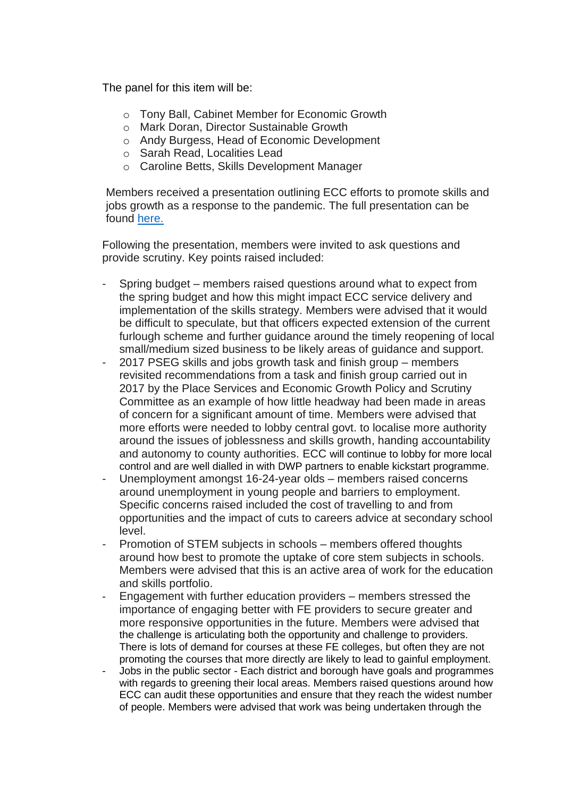The panel for this item will be:

- o Tony Ball, Cabinet Member for Economic Growth
- o Mark Doran, Director Sustainable Growth
- o Andy Burgess, Head of Economic Development
- o Sarah Read, Localities Lead
- o Caroline Betts, Skills Development Manager

Members received a presentation outlining ECC efforts to promote skills and jobs growth as a response to the pandemic. The full presentation can be found [here.](https://cmis.essex.gov.uk/essexcmis5/CalendarofMeetings/tabid/73/ctl/ViewMeetingPublic/mid/410/Meeting/4622/Committee/129/SelectedTab/Documents/Default.aspx)

Following the presentation, members were invited to ask questions and provide scrutiny. Key points raised included:

- Spring budget members raised questions around what to expect from the spring budget and how this might impact ECC service delivery and implementation of the skills strategy. Members were advised that it would be difficult to speculate, but that officers expected extension of the current furlough scheme and further guidance around the timely reopening of local small/medium sized business to be likely areas of guidance and support.
- 2017 PSEG skills and jobs growth task and finish group members revisited recommendations from a task and finish group carried out in 2017 by the Place Services and Economic Growth Policy and Scrutiny Committee as an example of how little headway had been made in areas of concern for a significant amount of time. Members were advised that more efforts were needed to lobby central govt. to localise more authority around the issues of joblessness and skills growth, handing accountability and autonomy to county authorities. ECC will continue to lobby for more local control and are well dialled in with DWP partners to enable kickstart programme.
- Unemployment amongst 16-24-year olds members raised concerns around unemployment in young people and barriers to employment. Specific concerns raised included the cost of travelling to and from opportunities and the impact of cuts to careers advice at secondary school level.
- Promotion of STEM subjects in schools members offered thoughts around how best to promote the uptake of core stem subjects in schools. Members were advised that this is an active area of work for the education and skills portfolio.
- Engagement with further education providers members stressed the importance of engaging better with FE providers to secure greater and more responsive opportunities in the future. Members were advised that the challenge is articulating both the opportunity and challenge to providers. There is lots of demand for courses at these FE colleges, but often they are not promoting the courses that more directly are likely to lead to gainful employment.
- Jobs in the public sector Each district and borough have goals and programmes with regards to greening their local areas. Members raised questions around how ECC can audit these opportunities and ensure that they reach the widest number of people. Members were advised that work was being undertaken through the